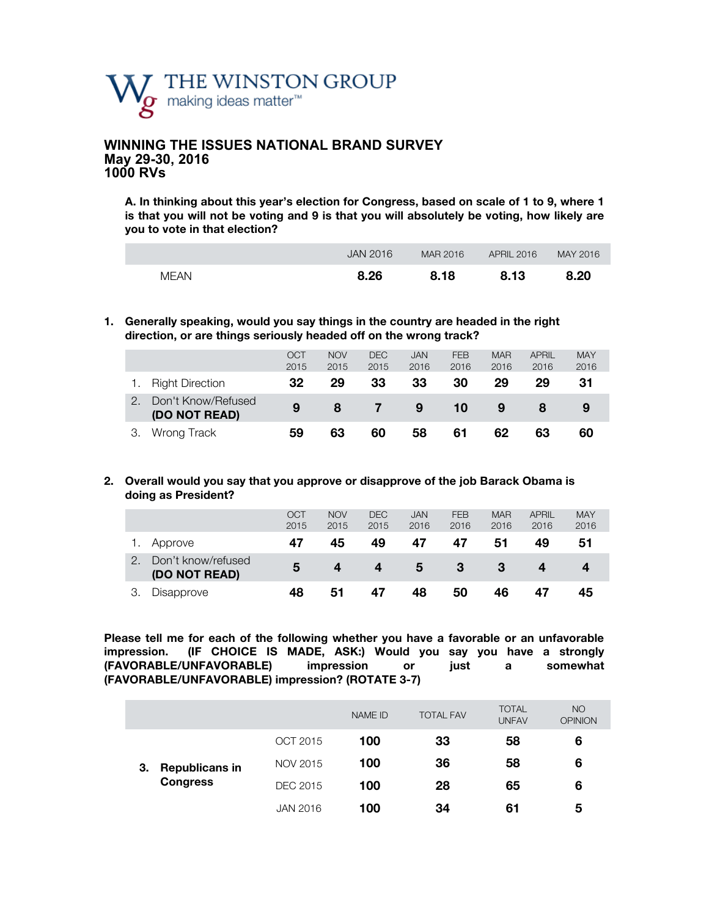

### **WINNING THE ISSUES NATIONAL BRAND SURVEY May 29-30, 2016 1000 RVs**

**A. In thinking about this year's election for Congress, based on scale of 1 to 9, where 1 is that you will not be voting and 9 is that you will absolutely be voting, how likely are you to vote in that election?**

|      | JAN 2016 | MAR 2016 | APRIL 2016 | MAY 2016 |
|------|----------|----------|------------|----------|
| MFAN | 8.26     | 8.18     | 8.13       | 8.20     |

**1. Generally speaking, would you say things in the country are headed in the right direction, or are things seriously headed off on the wrong track?** 

|    |                                     | <b>OCT</b><br>2015 | <b>NOV</b><br>2015 | <b>DEC</b><br>2015 | <b>JAN</b><br>2016 | <b>FEB</b><br>2016 | <b>MAR</b><br>2016 | <b>APRIL</b><br>2016 | <b>MAY</b><br>2016 |
|----|-------------------------------------|--------------------|--------------------|--------------------|--------------------|--------------------|--------------------|----------------------|--------------------|
|    | <b>Right Direction</b>              | 32                 | 29                 | 33                 | 33                 | 30                 | 29                 | 29                   | 31                 |
|    | Don't Know/Refused<br>(DO NOT READ) | 9                  | 8                  |                    | 9                  | 10                 | 9                  |                      | 9                  |
| З. | Wrong Track                         | 59                 | 63                 | 60                 | 58                 | 61                 | 62                 | 63                   | 60                 |

### **2. Overall would you say that you approve or disapprove of the job Barack Obama is doing as President?**

|                                     | <b>OCT</b><br>2015 | <b>NOV</b><br>2015 | <b>DEC</b><br>2015 | <b>JAN</b><br>2016 | <b>FEB</b><br>2016 | <b>MAR</b><br>2016 | <b>APRIL</b><br>2016 | <b>MAY</b><br>2016 |
|-------------------------------------|--------------------|--------------------|--------------------|--------------------|--------------------|--------------------|----------------------|--------------------|
| Approve                             | 47                 | 45                 | 49                 | 47                 | 47                 | 51                 | 49                   | 51                 |
| Don't know/refused<br>(DO NOT READ) | 5                  |                    | 4                  | 5                  | -3                 | 3                  | 4                    |                    |
| Disapprove                          | 48                 | 51                 | 47                 | 48                 | 50                 | 46                 | 47                   | 45                 |

**Please tell me for each of the following whether you have a favorable or an unfavorable impression. (IF CHOICE IS MADE, ASK:) Would you say you have a strongly (FAVORABLE/UNFAVORABLE) impression or just a somewhat (FAVORABLE/UNFAVORABLE) impression? (ROTATE 3-7)**

|    |                       |                 | <b>NAME ID</b> | <b>TOTAL FAV</b> | <b>TOTAL</b><br><b>UNFAV</b> | <b>NO</b><br><b>OPINION</b> |
|----|-----------------------|-----------------|----------------|------------------|------------------------------|-----------------------------|
|    |                       | OCT 2015        | 100            | 33               | 58                           | 6                           |
| З. | <b>Republicans in</b> | NOV 2015        | 100            | 36               | 58                           | 6                           |
|    | <b>Congress</b>       | DEC 2015        | 100            | 28               | 65                           | 6                           |
|    |                       | <b>JAN 2016</b> | 100            | 34               | 61                           | 5                           |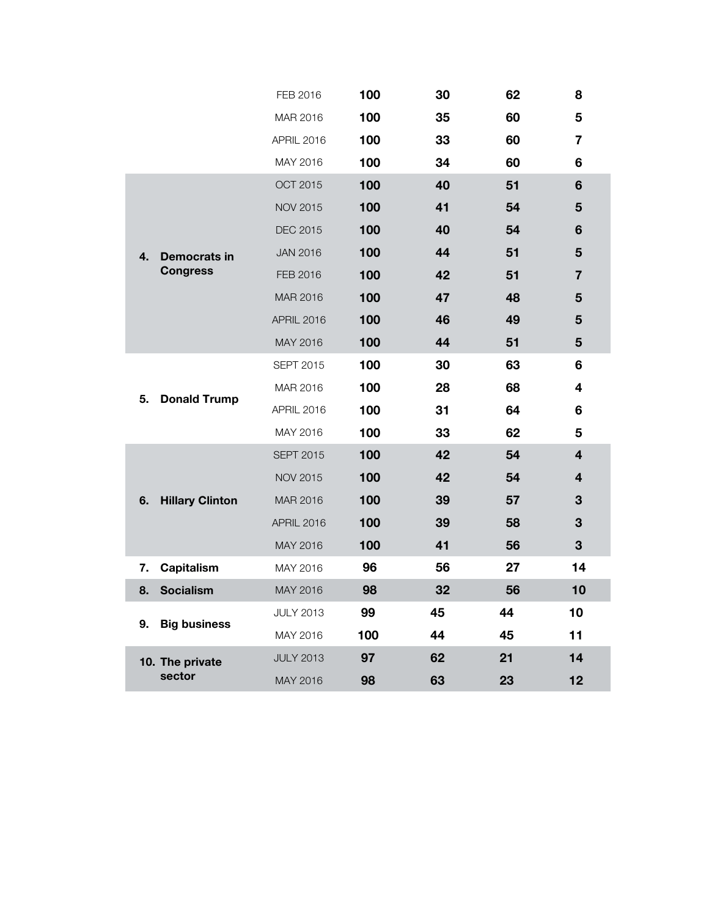|                              | FEB 2016          | 100 | 30 | 62 | 8                       |
|------------------------------|-------------------|-----|----|----|-------------------------|
|                              | MAR 2016          | 100 | 35 | 60 | 5                       |
|                              | APRIL 2016        | 100 | 33 | 60 | $\overline{\mathbf{r}}$ |
|                              | MAY 2016          | 100 | 34 | 60 | 6                       |
|                              | <b>OCT 2015</b>   | 100 | 40 | 51 | $6\phantom{1}$          |
|                              | <b>NOV 2015</b>   | 100 | 41 | 54 | 5                       |
|                              | DEC 2015          | 100 | 40 | 54 | 6                       |
| 4.<br>Democrats in           | <b>JAN 2016</b>   | 100 | 44 | 51 | 5                       |
| <b>Congress</b>              | FEB 2016          | 100 | 42 | 51 | $\overline{7}$          |
|                              | MAR 2016          | 100 | 47 | 48 | 5                       |
|                              | <b>APRIL 2016</b> | 100 | 46 | 49 | 5                       |
|                              | MAY 2016          | 100 | 44 | 51 | 5                       |
|                              | <b>SEPT 2015</b>  | 100 | 30 | 63 | 6                       |
| <b>Donald Trump</b><br>5.    | MAR 2016          | 100 | 28 | 68 | 4                       |
|                              | APRIL 2016        | 100 | 31 | 64 | 6                       |
|                              | MAY 2016          | 100 | 33 | 62 | 5                       |
|                              | <b>SEPT 2015</b>  | 100 | 42 | 54 | $\overline{4}$          |
|                              | <b>NOV 2015</b>   | 100 | 42 | 54 | 4                       |
| <b>Hillary Clinton</b><br>6. | MAR 2016          | 100 | 39 | 57 | 3                       |
|                              | APRIL 2016        | 100 | 39 | 58 | 3                       |
|                              | MAY 2016          | 100 | 41 | 56 | 3                       |
| Capitalism<br>7.             | MAY 2016          | 96  | 56 | 27 | 14                      |
| <b>Socialism</b><br>8.       | MAY 2016          | 98  | 32 | 56 | 10                      |
| <b>Big business</b><br>9.    | <b>JULY 2013</b>  | 99  | 45 | 44 | 10                      |
|                              | MAY 2016          | 100 | 44 | 45 | 11                      |
| 10. The private              | <b>JULY 2013</b>  | 97  | 62 | 21 | 14                      |
| sector                       | MAY 2016          | 98  | 63 | 23 | 12                      |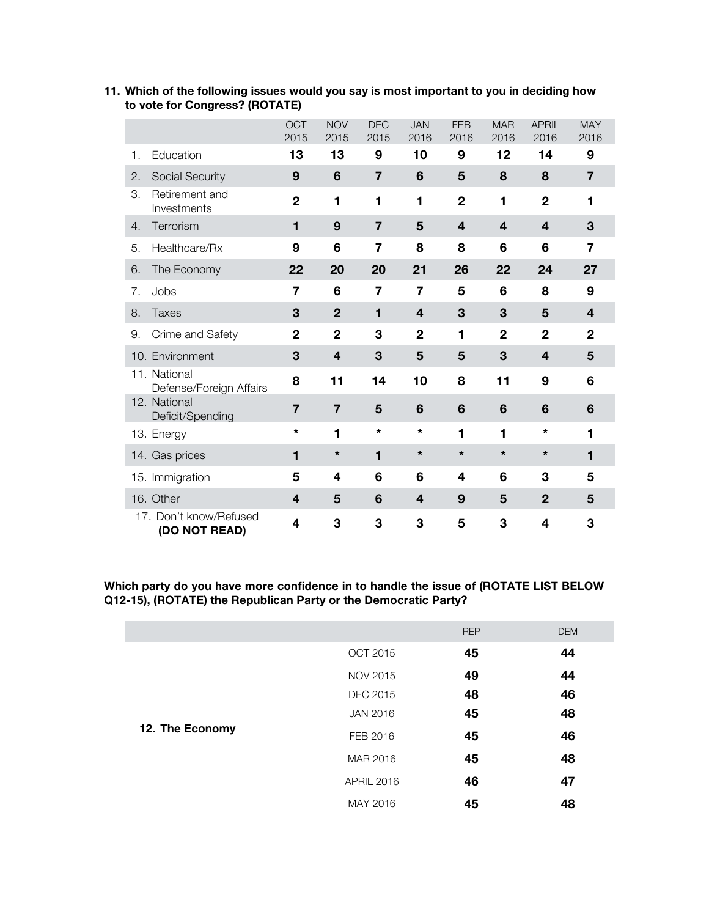|                                         | <b>OCT</b><br>2015 | <b>NOV</b><br>2015 | <b>DEC</b><br>2015 | <b>JAN</b><br>2016 | <b>FEB</b><br>2016 | <b>MAR</b><br>2016      | <b>APRIL</b><br>2016 | <b>MAY</b><br>2016      |
|-----------------------------------------|--------------------|--------------------|--------------------|--------------------|--------------------|-------------------------|----------------------|-------------------------|
| Education<br>1.                         | 13                 | 13                 | 9                  | 10                 | 9                  | 12                      | 14                   | 9                       |
| 2.<br>Social Security                   | 9                  | 6                  | $\overline{7}$     | 6                  | 5                  | 8                       | 8                    | $\overline{7}$          |
| Retirement and<br>З.<br>Investments     | $\overline{2}$     | 1                  | 1                  | 1                  | $\mathbf{2}$       | 1                       | $\overline{2}$       | 1                       |
| Terrorism<br>4.                         | 1                  | 9                  | $\overline{7}$     | 5                  | $\overline{4}$     | $\overline{\mathbf{4}}$ | 4                    | 3                       |
| Healthcare/Rx<br>5.                     | 9                  | 6                  | 7                  | 8                  | 8                  | 6                       | 6                    | 7                       |
| The Economy<br>6.                       | 22                 | 20                 | 20                 | 21                 | 26                 | 22                      | 24                   | 27                      |
| Jobs<br>7.                              | 7                  | 6                  | 7                  | 7                  | 5                  | 6                       | 8                    | 9                       |
| 8.<br>Taxes                             | 3                  | $\mathbf{2}$       | 1                  | 4                  | 3                  | 3                       | 5                    | $\overline{\mathbf{4}}$ |
| Crime and Safety<br>9.                  | $\overline{2}$     | $\overline{2}$     | 3                  | $\overline{2}$     | 1                  | $\overline{2}$          | $\overline{2}$       | $\overline{2}$          |
| 10. Environment                         | 3                  | 4                  | 3                  | 5                  | 5                  | 3                       | $\boldsymbol{4}$     | 5                       |
| 11. National<br>Defense/Foreign Affairs | 8                  | 11                 | 14                 | 10                 | 8                  | 11                      | 9                    | 6                       |
| 12. National<br>Deficit/Spending        | $\overline{7}$     | $\overline{7}$     | 5                  | 6                  | $6\phantom{1}6$    | 6                       | 6                    | 6                       |
| 13. Energy                              | *                  | 1                  | $\star$            | $\star$            | 1                  | 1                       | *                    | 1                       |
| 14. Gas prices                          | 1                  | $\star$            | 1                  | $\star$            | $\star$            | $\star$                 | $\star$              | 1                       |
| 15. Immigration                         | 5                  | 4                  | 6                  | 6                  | 4                  | 6                       | 3                    | 5                       |
| 16. Other                               | 4                  | 5                  | 6                  | 4                  | 9                  | 5                       | $\mathbf{2}$         | 5                       |
| 17. Don't know/Refused<br>(DO NOT READ) | 4                  | 3                  | 3                  | 3                  | 5                  | 3                       | 4                    | 3                       |

### **11. Which of the following issues would you say is most important to you in deciding how to vote for Congress? (ROTATE)**

**Which party do you have more confidence in to handle the issue of (ROTATE LIST BELOW Q12-15), (ROTATE) the Republican Party or the Democratic Party?** 

|                 |                   | <b>REP</b> | <b>DEM</b> |
|-----------------|-------------------|------------|------------|
|                 | OCT 2015          | 45         | 44         |
|                 | <b>NOV 2015</b>   | 49         | 44         |
|                 | <b>DEC 2015</b>   | 48         | 46         |
|                 | <b>JAN 2016</b>   | 45         | 48         |
| 12. The Economy | FEB 2016          | 45         | 46         |
|                 | MAR 2016          | 45         | 48         |
|                 | <b>APRIL 2016</b> | 46         | 47         |
|                 | MAY 2016          | 45         | 48         |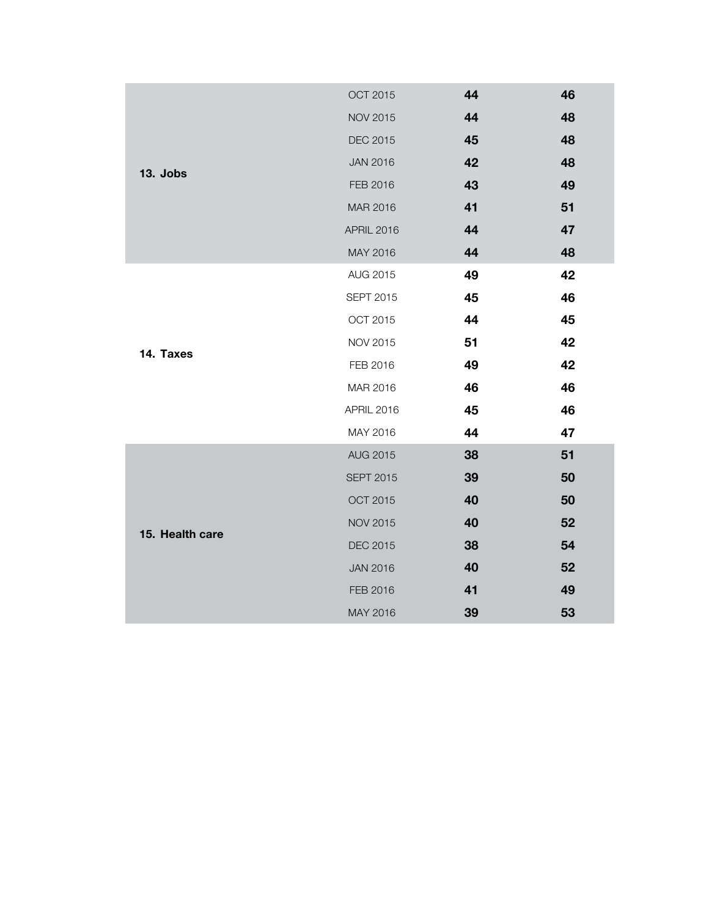|                 | <b>OCT 2015</b>   | 44 | 46 |
|-----------------|-------------------|----|----|
|                 | <b>NOV 2015</b>   | 44 | 48 |
|                 | DEC 2015          | 45 | 48 |
|                 | <b>JAN 2016</b>   | 42 | 48 |
| 13. Jobs        | FEB 2016          | 43 | 49 |
|                 | MAR 2016          | 41 | 51 |
|                 | <b>APRIL 2016</b> | 44 | 47 |
|                 | MAY 2016          | 44 | 48 |
|                 | AUG 2015          | 49 | 42 |
|                 | <b>SEPT 2015</b>  | 45 | 46 |
|                 | OCT 2015          | 44 | 45 |
|                 | <b>NOV 2015</b>   | 51 | 42 |
| 14. Taxes       | FEB 2016          | 49 | 42 |
|                 | MAR 2016          | 46 | 46 |
|                 | APRIL 2016        | 45 | 46 |
|                 | MAY 2016          | 44 | 47 |
|                 | <b>AUG 2015</b>   | 38 | 51 |
|                 | <b>SEPT 2015</b>  | 39 | 50 |
|                 | OCT 2015          | 40 | 50 |
| 15. Health care | <b>NOV 2015</b>   | 40 | 52 |
|                 | <b>DEC 2015</b>   | 38 | 54 |
|                 | <b>JAN 2016</b>   | 40 | 52 |
|                 | FEB 2016          | 41 | 49 |
|                 | MAY 2016          | 39 | 53 |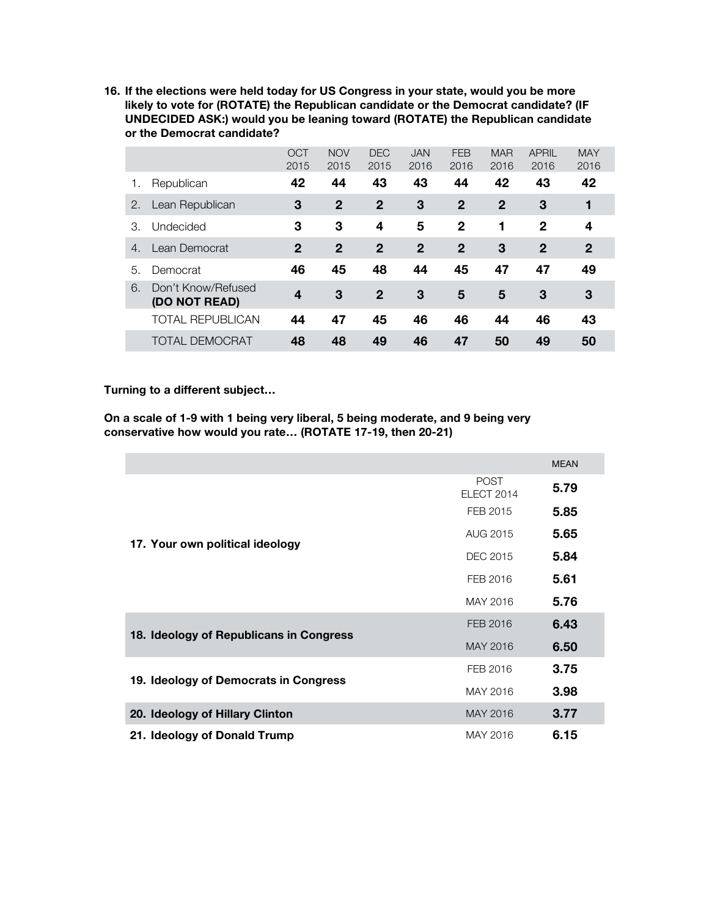**16. If the elections were held today for US Congress in your state, would you be more likely to vote for (ROTATE) the Republican candidate or the Democrat candidate? (IF UNDECIDED ASK:) would you be leaning toward (ROTATE) the Republican candidate or the Democrat candidate?**

|    |                                     | <b>OCT</b><br>2015 | <b>NOV</b><br>2015 | <b>DEC</b><br>2015 | <b>JAN</b><br>2016 | <b>FEB</b><br>2016 | <b>MAR</b><br>2016 | <b>APRIL</b><br>2016 | <b>MAY</b><br>2016 |
|----|-------------------------------------|--------------------|--------------------|--------------------|--------------------|--------------------|--------------------|----------------------|--------------------|
| 1. | Republican                          | 42                 | 44                 | 43                 | 43                 | 44                 | 42                 | 43                   | 42                 |
| 2. | Lean Republican                     | 3                  | $\mathbf 2$        | $\mathbf{2}$       | 3                  | $\overline{2}$     | $\mathbf 2$        | 3                    | 1                  |
| З. | Undecided                           | 3                  | 3                  | 4                  | 5                  | $\mathbf{2}$       | 1                  | $\mathbf{2}$         | 4                  |
| 4. | Lean Democrat                       | $\mathbf{2}$       | $\mathbf{2}$       | $\mathbf{2}$       | $\mathbf 2$        | $\mathbf{2}$       | 3                  | $\mathbf{2}$         | $\mathbf 2$        |
| 5. | Democrat                            | 46                 | 45                 | 48                 | 44                 | 45                 | 47                 | 47                   | 49                 |
| 6. | Don't Know/Refused<br>(DO NOT READ) | 4                  | 3                  | $\mathbf{2}$       | 3                  | 5                  | 5                  | 3                    | 3                  |
|    | <b>TOTAL REPUBLICAN</b>             | 44                 | 47                 | 45                 | 46                 | 46                 | 44                 | 46                   | 43                 |
|    | <b>TOTAL DEMOCRAT</b>               | 48                 | 48                 | 49                 | 46                 | 47                 | 50                 | 49                   | 50                 |

### **Turning to a different subject…**

**On a scale of 1-9 with 1 being very liberal, 5 being moderate, and 9 being very conservative how would you rate… (ROTATE 17-19, then 20-21)**

|                                         |                                  | <b>MEAN</b> |
|-----------------------------------------|----------------------------------|-------------|
|                                         | <b>POST</b><br><b>ELECT 2014</b> | 5.79        |
|                                         | FEB 2015                         | 5.85        |
| 17. Your own political ideology         | AUG 2015                         | 5.65        |
|                                         | DEC 2015                         | 5.84        |
|                                         | FEB 2016                         | 5.61        |
|                                         | MAY 2016                         | 5.76        |
|                                         | FEB 2016                         | 6.43        |
| 18. Ideology of Republicans in Congress | MAY 2016                         | 6.50        |
|                                         | FEB 2016                         | 3.75        |
| 19. Ideology of Democrats in Congress   | MAY 2016                         | 3.98        |
| 20. Ideology of Hillary Clinton         | MAY 2016                         | 3.77        |
| 21. Ideology of Donald Trump            | MAY 2016                         | 6.15        |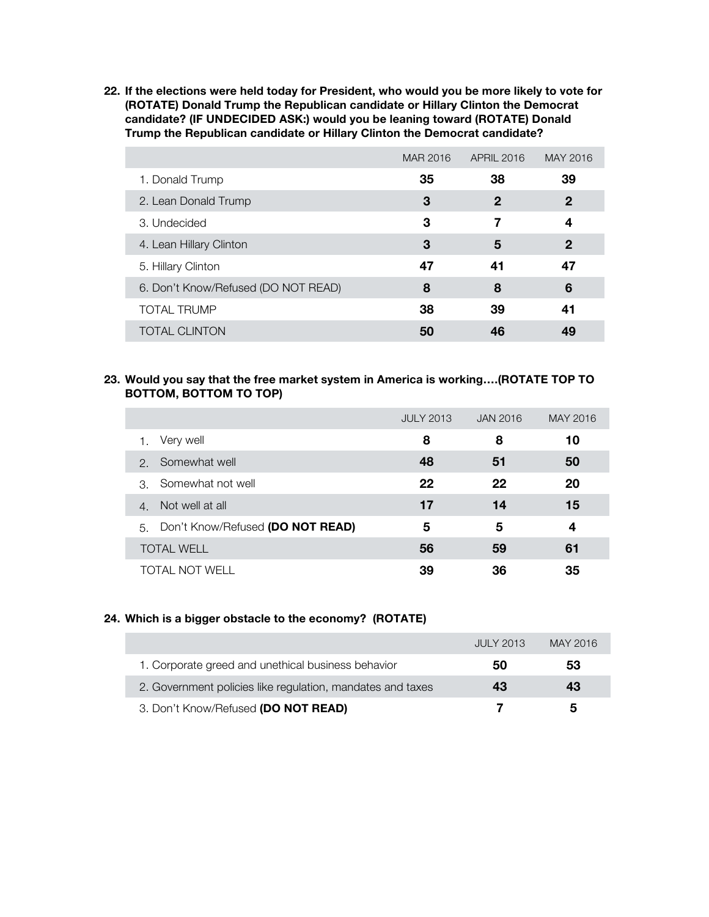**22. If the elections were held today for President, who would you be more likely to vote for (ROTATE) Donald Trump the Republican candidate or Hillary Clinton the Democrat candidate? (IF UNDECIDED ASK:) would you be leaning toward (ROTATE) Donald Trump the Republican candidate or Hillary Clinton the Democrat candidate?**

|                                     | MAR 2016 | <b>APRIL 2016</b> | MAY 2016     |
|-------------------------------------|----------|-------------------|--------------|
| 1. Donald Trump                     | 35       | 38                | 39           |
| 2. Lean Donald Trump                | 3        | 2                 | $\mathbf{2}$ |
| 3. Undecided                        | 3        | 7                 | 4            |
| 4. Lean Hillary Clinton             | 3        | 5                 | $\mathbf 2$  |
| 5. Hillary Clinton                  | 47       | 41                | 47           |
| 6. Don't Know/Refused (DO NOT READ) | 8        | 8                 | 6            |
| <b>TOTAL TRUMP</b>                  | 38       | 39                | 41           |
| <b>TOTAL CLINTON</b>                | 50       | 46                | 49           |

### **23. Would you say that the free market system in America is working….(ROTATE TOP TO BOTTOM, BOTTOM TO TOP)**

|                                        | <b>JULY 2013</b> | JAN 2016 | MAY 2016 |
|----------------------------------------|------------------|----------|----------|
| Very well                              | 8                | 8        | 10       |
| Somewhat well<br>$\mathcal{P}$         | 48               | 51       | 50       |
| Somewhat not well<br>$\mathcal{S}$     | 22               | 22       | 20       |
| Not well at all<br>$\overline{4}$      | 17               | 14       | 15       |
| Don't Know/Refused (DO NOT READ)<br>5. | 5                | 5        | 4        |
| <b>TOTAL WELL</b>                      | 56               | 59       | 61       |
| TOTAL NOT WELL                         | 39               | 36       | 35       |

### **24. Which is a bigger obstacle to the economy? (ROTATE)**

|                                                            | <b>JULY 2013</b> | MAY 2016 |
|------------------------------------------------------------|------------------|----------|
| 1. Corporate greed and unethical business behavior         | 50               | 53       |
| 2. Government policies like regulation, mandates and taxes | 43               | 43       |
| 3. Don't Know/Refused (DO NOT READ)                        |                  | b        |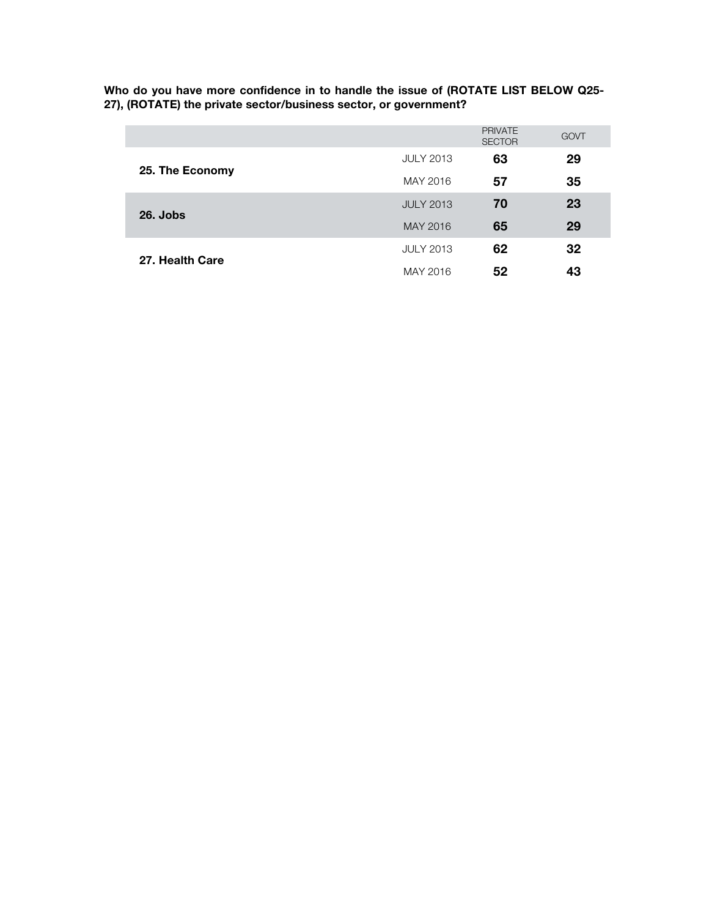**Who do you have more confidence in to handle the issue of (ROTATE LIST BELOW Q25- 27), (ROTATE) the private sector/business sector, or government?** 

|                 |                  | <b>PRIVATE</b><br><b>SECTOR</b> | GOVT |
|-----------------|------------------|---------------------------------|------|
|                 | <b>JULY 2013</b> | 63                              | 29   |
| 25. The Economy | MAY 2016         | 57                              | 35   |
| $26.$ Jobs      | <b>JULY 2013</b> | 70                              | 23   |
|                 | MAY 2016         | 65                              | 29   |
| 27. Health Care | <b>JULY 2013</b> | 62                              | 32   |
|                 | MAY 2016         | 52                              | 43   |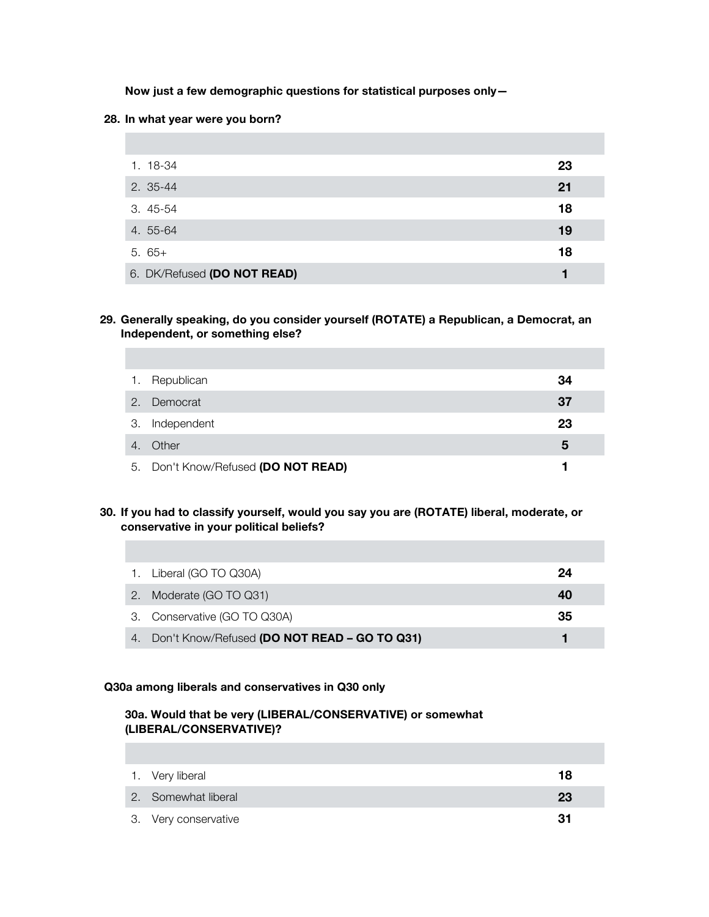**Now just a few demographic questions for statistical purposes only—**

#### **28. In what year were you born?**

T.

| 1. 18-34                    | 23 |
|-----------------------------|----|
| 2. 35-44                    | 21 |
| $3.45 - 54$                 | 18 |
| 4. 55-64                    | 19 |
| $5.65+$                     | 18 |
| 6. DK/Refused (DO NOT READ) |    |

### **29. Generally speaking, do you consider yourself (ROTATE) a Republican, a Democrat, an Independent, or something else?**

| 1. | Republican                          | 34 |
|----|-------------------------------------|----|
| 2. | Democrat                            | 37 |
| З. | Independent                         | 23 |
| 4. | Other                               | ა  |
|    | 5. Don't Know/Refused (DO NOT READ) |    |

### **30. If you had to classify yourself, would you say you are (ROTATE) liberal, moderate, or conservative in your political beliefs?**

|    | 1. Liberal (GO TO Q30A)                         | 24 |
|----|-------------------------------------------------|----|
| 2. | Moderate (GO TO Q31)                            | 40 |
|    | 3. Conservative (GO TO Q30A)                    | 35 |
|    | 4. Don't Know/Refused (DO NOT READ - GO TO Q31) |    |

### **Q30a among liberals and conservatives in Q30 only**

### **30a. Would that be very (LIBERAL/CONSERVATIVE) or somewhat (LIBERAL/CONSERVATIVE)?**

| 1. Very liberal      | 18 |
|----------------------|----|
| 2. Somewhat liberal  | 23 |
| 3. Very conservative | 31 |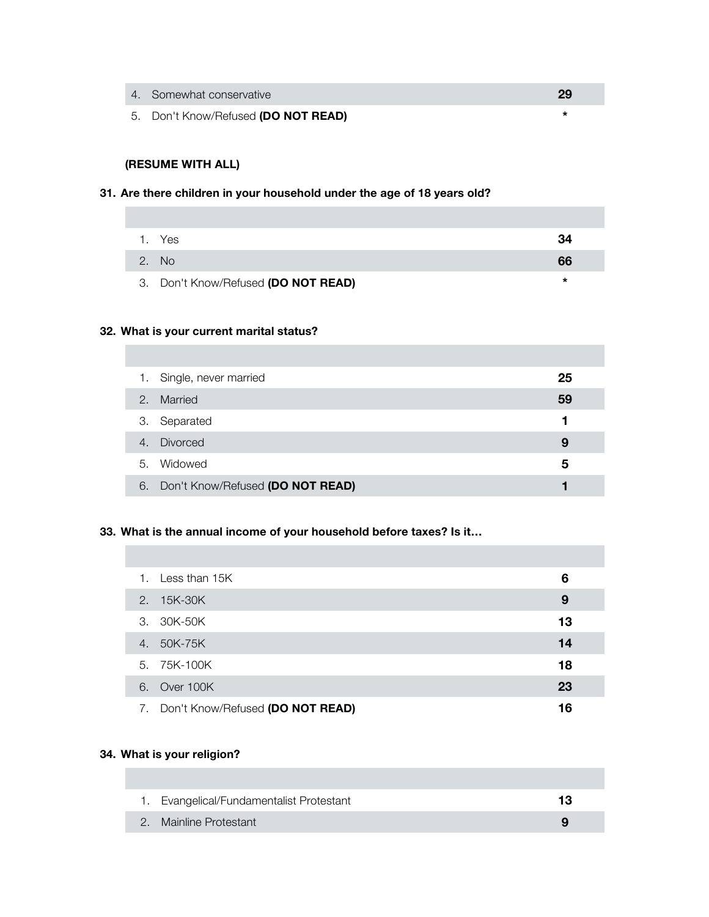- 4. Somewhat conservative **29**
- 5. Don't Know/Refused **(DO NOT READ) \***

# **(RESUME WITH ALL)**

### **31. Are there children in your household under the age of 18 years old?**

|       | 1. Yes                              | 34 |
|-------|-------------------------------------|----|
| 2. No |                                     | 66 |
|       | 3. Don't Know/Refused (DO NOT READ) |    |

### **32. What is your current marital status?**

| 1. | Single, never married               | 25 |
|----|-------------------------------------|----|
| 2. | Married                             | 59 |
| 3. | Separated                           |    |
|    | 4. Divorced                         | 9  |
| 5. | Widowed                             | 5  |
|    | 6. Don't Know/Refused (DO NOT READ) |    |

### **33. What is the annual income of your household before taxes? Is it…**

|    | 1. Less than 15K                    | 6  |  |
|----|-------------------------------------|----|--|
|    | 2. 15K-30K                          | 9  |  |
|    | 3. 30K-50K                          | 13 |  |
| 4. | 50K-75K                             | 14 |  |
|    | 5. 75K-100K                         | 18 |  |
|    | 6. Over 100K                        | 23 |  |
|    | 7. Don't Know/Refused (DO NOT READ) | 16 |  |

### **34. What is your religion?**

| 1. Evangelical/Fundamentalist Protestant |  |
|------------------------------------------|--|
| 2. Mainline Protestant                   |  |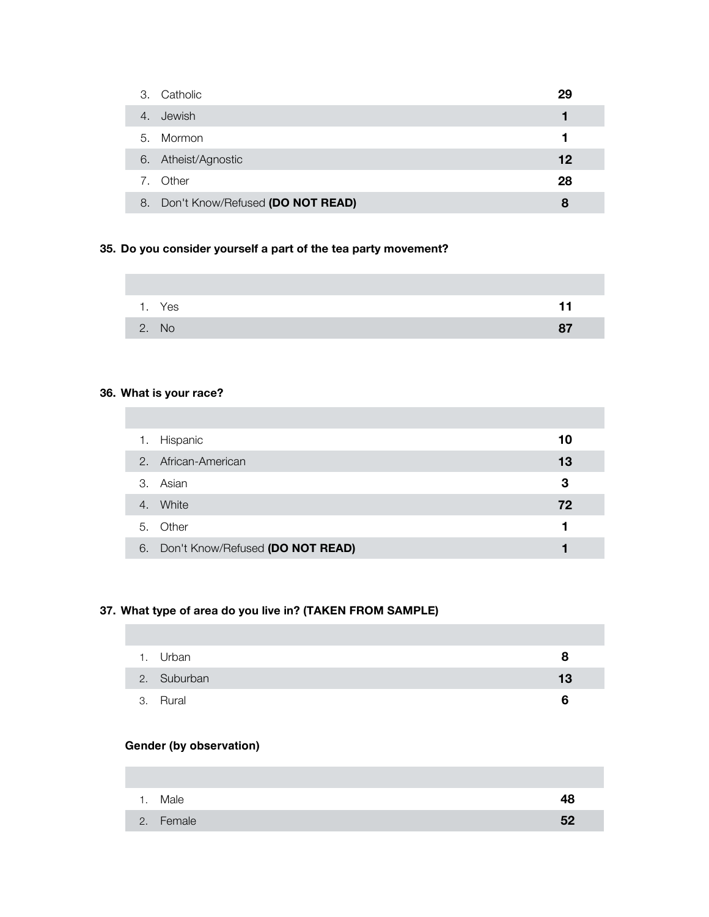| Catholic<br>3.                            |                                  | 29 |
|-------------------------------------------|----------------------------------|----|
| Jewish<br>4.                              |                                  |    |
| Mormon<br>5.                              |                                  |    |
| Atheist/Agnostic<br>6.                    |                                  | 12 |
| Other<br>$7_{\scriptscriptstyle{\ddots}}$ |                                  | 28 |
| 8.                                        | Don't Know/Refused (DO NOT READ) | 8  |

## **35. Do you consider yourself a part of the tea party movement?**

| 1. Yes | 11 |
|--------|----|
| 2. No  |    |

# **36. What is your race?**

| 1. | Hispanic                            | 10 |  |
|----|-------------------------------------|----|--|
|    | 2. African-American                 | 13 |  |
|    | 3. Asian                            | З  |  |
| 4. | White                               | 72 |  |
|    | 5. Other                            |    |  |
|    | 6. Don't Know/Refused (DO NOT READ) |    |  |

# **37. What type of area do you live in? (TAKEN FROM SAMPLE)**

| 1. Urban    | x  |
|-------------|----|
| 2. Suburban | 13 |
| 3. Rural    | 6  |

## **Gender (by observation)**

| 1. Male   | Δ⊁  |
|-----------|-----|
| 2. Female | .52 |